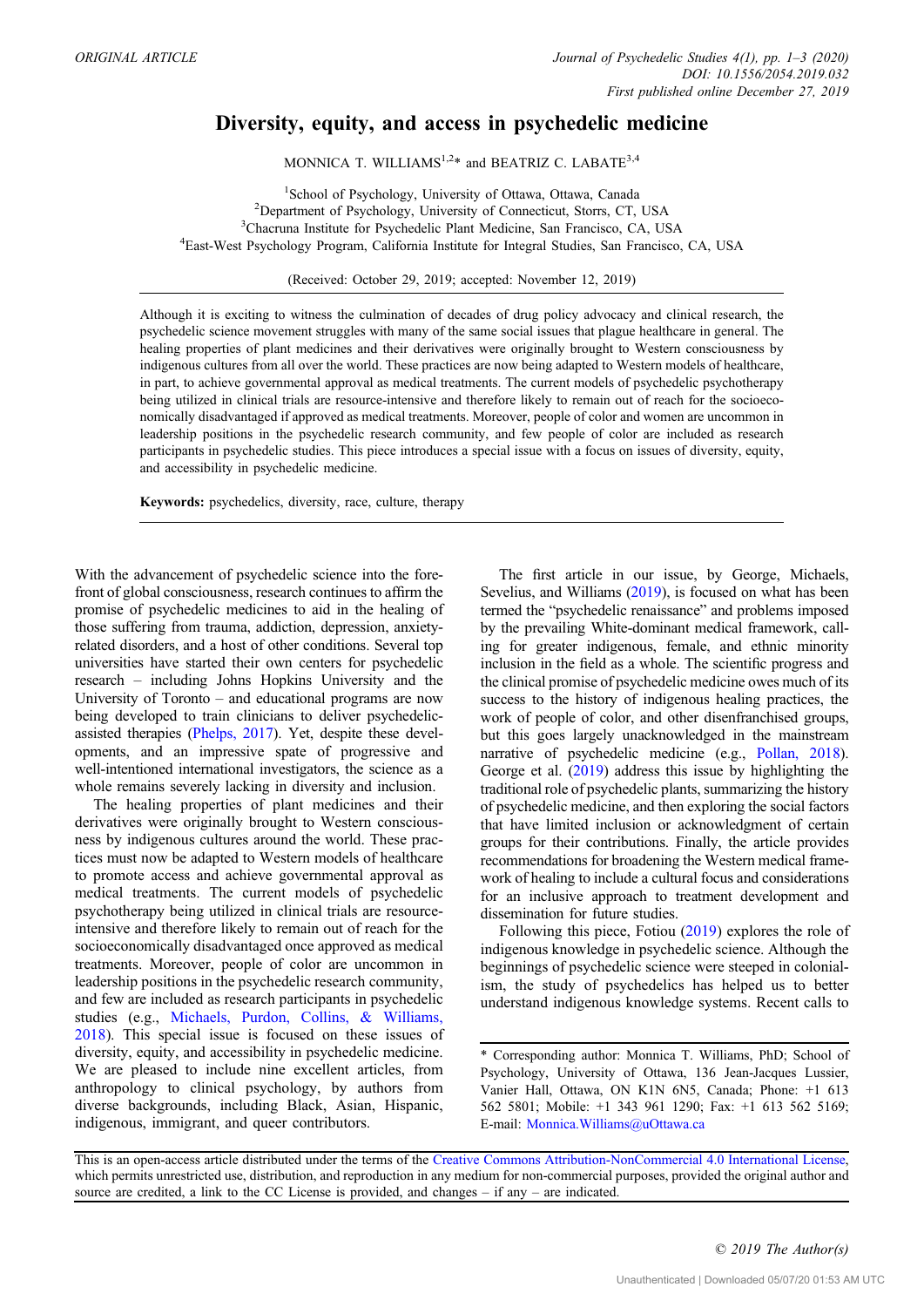## Diversity, equity, and access in psychedelic medicine

MONNICA T. WILLIAMS<sup>1,2\*</sup> and BEATRIZ C. LABATE<sup>3,4</sup>

<sup>1</sup>School of Psychology, University of Ottawa, Ottawa, Canada<sup>2</sup>Department of Psychology, University of Connecticut, Storre, CT <sup>2</sup>Department of Psychology, University of Connecticut, Storrs, CT, USA <sup>3</sup>Chacruna Institute for Psychedelic Plant Medicine, San Francisco, CA, USA East-West Psychology Program, California Institute for Integral Studies, San Francisco, CA, USA

(Received: October 29, 2019; accepted: November 12, 2019)

Although it is exciting to witness the culmination of decades of drug policy advocacy and clinical research, the psychedelic science movement struggles with many of the same social issues that plague healthcare in general. The healing properties of plant medicines and their derivatives were originally brought to Western consciousness by indigenous cultures from all over the world. These practices are now being adapted to Western models of healthcare, in part, to achieve governmental approval as medical treatments. The current models of psychedelic psychotherapy being utilized in clinical trials are resource-intensive and therefore likely to remain out of reach for the socioeconomically disadvantaged if approved as medical treatments. Moreover, people of color and women are uncommon in leadership positions in the psychedelic research community, and few people of color are included as research participants in psychedelic studies. This piece introduces a special issue with a focus on issues of diversity, equity, and accessibility in psychedelic medicine.

Keywords: psychedelics, diversity, race, culture, therapy

With the advancement of psychedelic science into the forefront of global consciousness, research continues to affirm the promise of psychedelic medicines to aid in the healing of those suffering from trauma, addiction, depression, anxietyrelated disorders, and a host of other conditions. Several top universities have started their own centers for psychedelic research – including Johns Hopkins University and the University of Toronto – and educational programs are now being developed to train clinicians to deliver psychedelicassisted therapies [\(Phelps, 2017](#page-2-0)). Yet, despite these developments, and an impressive spate of progressive and well-intentioned international investigators, the science as a whole remains severely lacking in diversity and inclusion.

The healing properties of plant medicines and their derivatives were originally brought to Western consciousness by indigenous cultures around the world. These practices must now be adapted to Western models of healthcare to promote access and achieve governmental approval as medical treatments. The current models of psychedelic psychotherapy being utilized in clinical trials are resourceintensive and therefore likely to remain out of reach for the socioeconomically disadvantaged once approved as medical treatments. Moreover, people of color are uncommon in leadership positions in the psychedelic research community, and few are included as research participants in psychedelic studies (e.g., [Michaels, Purdon, Collins, & Williams,](#page-2-0) [2018](#page-2-0)). This special issue is focused on these issues of diversity, equity, and accessibility in psychedelic medicine. We are pleased to include nine excellent articles, from anthropology to clinical psychology, by authors from diverse backgrounds, including Black, Asian, Hispanic, indigenous, immigrant, and queer contributors.

The first article in our issue, by George, Michaels, Sevelius, and Williams ([2019](#page-2-0)), is focused on what has been termed the "psychedelic renaissance" and problems imposed by the prevailing White-dominant medical framework, calling for greater indigenous, female, and ethnic minority inclusion in the field as a whole. The scientific progress and the clinical promise of psychedelic medicine owes much of its success to the history of indigenous healing practices, the work of people of color, and other disenfranchised groups, but this goes largely unacknowledged in the mainstream narrative of psychedelic medicine (e.g., [Pollan, 2018](#page-2-0)). George et al. [\(2019\)](#page-2-0) address this issue by highlighting the traditional role of psychedelic plants, summarizing the history of psychedelic medicine, and then exploring the social factors that have limited inclusion or acknowledgment of certain groups for their contributions. Finally, the article provides recommendations for broadening the Western medical framework of healing to include a cultural focus and considerations for an inclusive approach to treatment development and dissemination for future studies.

Following this piece, Fotiou ([2019\)](#page-2-0) explores the role of indigenous knowledge in psychedelic science. Although the beginnings of psychedelic science were steeped in colonialism, the study of psychedelics has helped us to better understand indigenous knowledge systems. Recent calls to

<sup>\*</sup> Corresponding author: Monnica T. Williams, PhD; School of Psychology, University of Ottawa, 136 Jean-Jacques Lussier, Vanier Hall, Ottawa, ON K1N 6N5, Canada; Phone: +1 613 562 5801; Mobile: +1 343 961 1290; Fax: +1 613 562 5169; E-mail: [Monnica.Williams@uOttawa.ca](mailto:Monnica.Williams@uOttawa.ca)

This is an open-access article distributed under the terms of the [Creative Commons Attribution-NonCommercial 4.0 International License,](http://creativecommons.org/licenses/by-nc/4.0/) which permits unrestricted use, distribution, and reproduction in any medium for non-commercial purposes, provided the original author and source are credited, a link to the CC License is provided, and changes – if any – are indicated.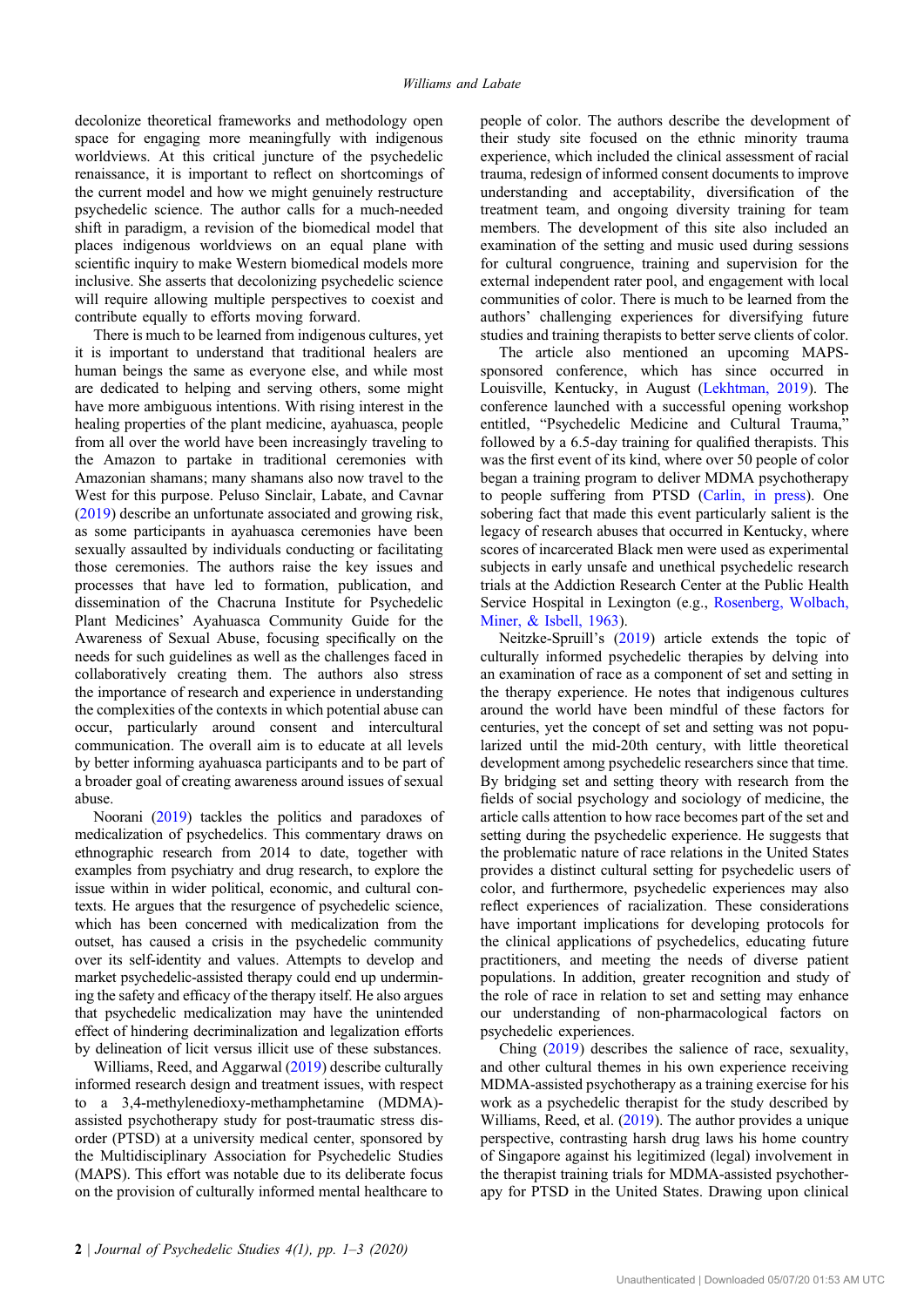decolonize theoretical frameworks and methodology open space for engaging more meaningfully with indigenous worldviews. At this critical juncture of the psychedelic renaissance, it is important to reflect on shortcomings of the current model and how we might genuinely restructure psychedelic science. The author calls for a much-needed shift in paradigm, a revision of the biomedical model that places indigenous worldviews on an equal plane with scientific inquiry to make Western biomedical models more inclusive. She asserts that decolonizing psychedelic science will require allowing multiple perspectives to coexist and contribute equally to efforts moving forward.

There is much to be learned from indigenous cultures, yet it is important to understand that traditional healers are human beings the same as everyone else, and while most are dedicated to helping and serving others, some might have more ambiguous intentions. With rising interest in the healing properties of the plant medicine, ayahuasca, people from all over the world have been increasingly traveling to the Amazon to partake in traditional ceremonies with Amazonian shamans; many shamans also now travel to the West for this purpose. Peluso Sinclair, Labate, and Cavnar [\(2019](#page-2-0)) describe an unfortunate associated and growing risk, as some participants in ayahuasca ceremonies have been sexually assaulted by individuals conducting or facilitating those ceremonies. The authors raise the key issues and processes that have led to formation, publication, and dissemination of the Chacruna Institute for Psychedelic Plant Medicines' Ayahuasca Community Guide for the Awareness of Sexual Abuse, focusing specifically on the needs for such guidelines as well as the challenges faced in collaboratively creating them. The authors also stress the importance of research and experience in understanding the complexities of the contexts in which potential abuse can occur, particularly around consent and intercultural communication. The overall aim is to educate at all levels by better informing ayahuasca participants and to be part of a broader goal of creating awareness around issues of sexual abuse.

Noorani ([2019](#page-2-0)) tackles the politics and paradoxes of medicalization of psychedelics. This commentary draws on ethnographic research from 2014 to date, together with examples from psychiatry and drug research, to explore the issue within in wider political, economic, and cultural contexts. He argues that the resurgence of psychedelic science, which has been concerned with medicalization from the outset, has caused a crisis in the psychedelic community over its self-identity and values. Attempts to develop and market psychedelic-assisted therapy could end up undermining the safety and efficacy of the therapy itself. He also argues that psychedelic medicalization may have the unintended effect of hindering decriminalization and legalization efforts by delineation of licit versus illicit use of these substances.

Williams, Reed, and Aggarwal [\(2019](#page-2-0)) describe culturally informed research design and treatment issues, with respect to a 3,4-methylenedioxy-methamphetamine (MDMA) assisted psychotherapy study for post-traumatic stress disorder (PTSD) at a university medical center, sponsored by the Multidisciplinary Association for Psychedelic Studies (MAPS). This effort was notable due to its deliberate focus on the provision of culturally informed mental healthcare to

people of color. The authors describe the development of their study site focused on the ethnic minority trauma experience, which included the clinical assessment of racial trauma, redesign of informed consent documents to improve understanding and acceptability, diversification of the treatment team, and ongoing diversity training for team members. The development of this site also included an examination of the setting and music used during sessions for cultural congruence, training and supervision for the external independent rater pool, and engagement with local communities of color. There is much to be learned from the authors' challenging experiences for diversifying future studies and training therapists to better serve clients of color.

The article also mentioned an upcoming MAPSsponsored conference, which has since occurred in Louisville, Kentucky, in August [\(Lekhtman, 2019\)](#page-2-0). The conference launched with a successful opening workshop entitled, "Psychedelic Medicine and Cultural Trauma," followed by a 6.5-day training for qualified therapists. This was the first event of its kind, where over 50 people of color began a training program to deliver MDMA psychotherapy to people suffering from PTSD [\(Carlin, in press](#page-2-0)). One sobering fact that made this event particularly salient is the legacy of research abuses that occurred in Kentucky, where scores of incarcerated Black men were used as experimental subjects in early unsafe and unethical psychedelic research trials at the Addiction Research Center at the Public Health Service Hospital in Lexington (e.g., [Rosenberg, Wolbach,](#page-2-0) [Miner, & Isbell, 1963\)](#page-2-0).

Neitzke-Spruill's ([2019\)](#page-2-0) article extends the topic of culturally informed psychedelic therapies by delving into an examination of race as a component of set and setting in the therapy experience. He notes that indigenous cultures around the world have been mindful of these factors for centuries, yet the concept of set and setting was not popularized until the mid-20th century, with little theoretical development among psychedelic researchers since that time. By bridging set and setting theory with research from the fields of social psychology and sociology of medicine, the article calls attention to how race becomes part of the set and setting during the psychedelic experience. He suggests that the problematic nature of race relations in the United States provides a distinct cultural setting for psychedelic users of color, and furthermore, psychedelic experiences may also reflect experiences of racialization. These considerations have important implications for developing protocols for the clinical applications of psychedelics, educating future practitioners, and meeting the needs of diverse patient populations. In addition, greater recognition and study of the role of race in relation to set and setting may enhance our understanding of non-pharmacological factors on psychedelic experiences.

Ching [\(2019](#page-2-0)) describes the salience of race, sexuality, and other cultural themes in his own experience receiving MDMA-assisted psychotherapy as a training exercise for his work as a psychedelic therapist for the study described by Williams, Reed, et al. ([2019\)](#page-2-0). The author provides a unique perspective, contrasting harsh drug laws his home country of Singapore against his legitimized (legal) involvement in the therapist training trials for MDMA-assisted psychotherapy for PTSD in the United States. Drawing upon clinical